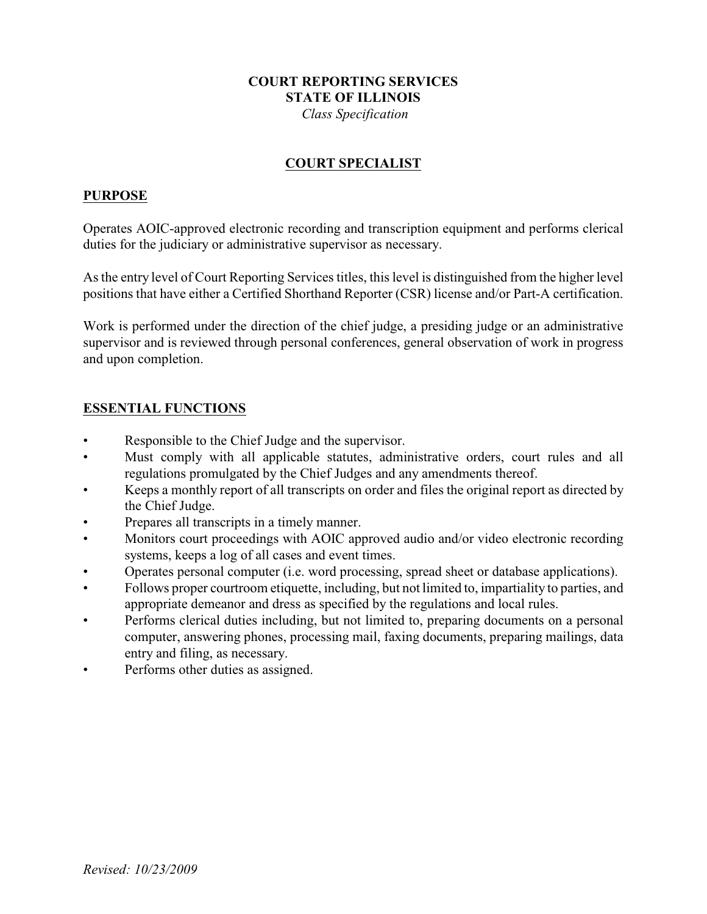## **COURT REPORTING SERVICES STATE OF ILLINOIS**

 *Class Specification*

### **COURT SPECIALIST**

#### **PURPOSE**

Operates AOIC-approved electronic recording and transcription equipment and performs clerical duties for the judiciary or administrative supervisor as necessary.

As the entry level of Court Reporting Services titles, this level is distinguished from the higher level positions that have either a Certified Shorthand Reporter (CSR) license and/or Part-A certification.

Work is performed under the direction of the chief judge, a presiding judge or an administrative supervisor and is reviewed through personal conferences, general observation of work in progress and upon completion.

### **ESSENTIAL FUNCTIONS**

- Responsible to the Chief Judge and the supervisor.
- Must comply with all applicable statutes, administrative orders, court rules and all regulations promulgated by the Chief Judges and any amendments thereof.
- Keeps a monthly report of all transcripts on order and files the original report as directed by the Chief Judge.
- Prepares all transcripts in a timely manner.
- Monitors court proceedings with AOIC approved audio and/or video electronic recording systems, keeps a log of all cases and event times.
- Operates personal computer (i.e. word processing, spread sheet or database applications).
- Follows proper courtroom etiquette, including, but not limited to, impartiality to parties, and appropriate demeanor and dress as specified by the regulations and local rules.
- Performs clerical duties including, but not limited to, preparing documents on a personal computer, answering phones, processing mail, faxing documents, preparing mailings, data entry and filing, as necessary.
- Performs other duties as assigned.